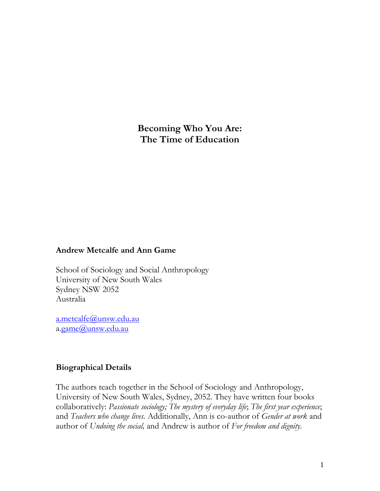**Becoming Who You Are: The Time of Education**

## **Andrew Metcalfe and Ann Game**

School of Sociology and Social Anthropology University of New South Wales Sydney NSW 2052 Australia

[a.metcalfe@unsw.edu.au](mailto:a.metcalfe@unsw.edu.au) a[.game@unsw.edu.au](mailto:a.game@unsw.edu.au)

## **Biographical Details**

The authors teach together in the School of Sociology and Anthropology, University of New South Wales, Sydney, 2052. They have written four books collaboratively: *Passionate sociology; The mystery of everyday life*; *The first year experience*; and *Teachers who change lives.* Additionally, Ann is co-author of *Gender at work* and author of *Undoing the social,* and Andrew is author of *For freedom and dignity*.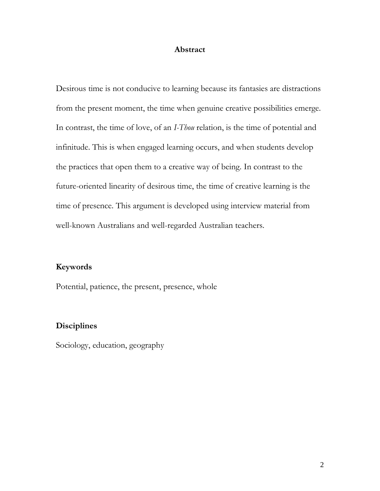#### **Abstract**

Desirous time is not conducive to learning because its fantasies are distractions from the present moment, the time when genuine creative possibilities emerge. In contrast, the time of love, of an *I-Thou* relation, is the time of potential and infinitude. This is when engaged learning occurs, and when students develop the practices that open them to a creative way of being. In contrast to the future-oriented linearity of desirous time, the time of creative learning is the time of presence. This argument is developed using interview material from well-known Australians and well-regarded Australian teachers.

# **Keywords**

Potential, patience, the present, presence, whole

# **Disciplines**

Sociology, education, geography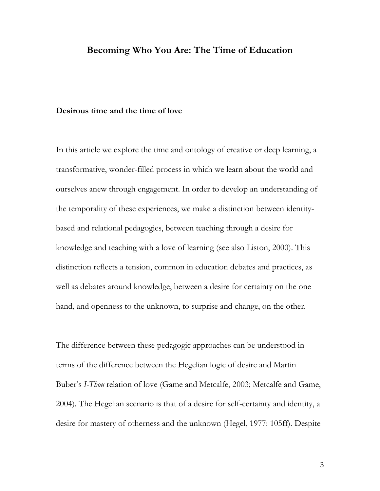# **Becoming Who You Are: The Time of Education**

#### **Desirous time and the time of love**

In this article we explore the time and ontology of creative or deep learning, a transformative, wonder-filled process in which we learn about the world and ourselves anew through engagement. In order to develop an understanding of the temporality of these experiences, we make a distinction between identitybased and relational pedagogies, between teaching through a desire for knowledge and teaching with a love of learning (see also Liston, 2000). This distinction reflects a tension, common in education debates and practices, as well as debates around knowledge, between a desire for certainty on the one hand, and openness to the unknown, to surprise and change, on the other.

The difference between these pedagogic approaches can be understood in terms of the difference between the Hegelian logic of desire and Martin Buber's *I-Thou* relation of love (Game and Metcalfe, 2003; Metcalfe and Game, 2004). The Hegelian scenario is that of a desire for self-certainty and identity, a desire for mastery of otherness and the unknown (Hegel, 1977: 105ff). Despite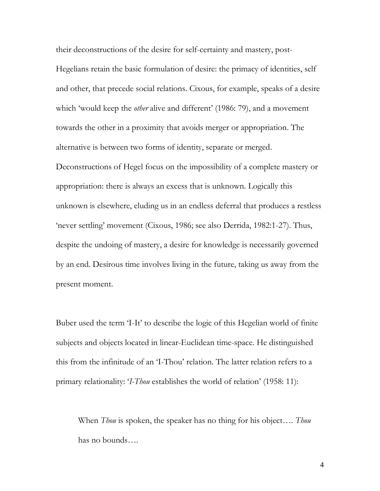their deconstructions of the desire for self-certainty and mastery, post-Hegelians retain the basic formulation of desire: the primacy of identities, self and other, that precede social relations. Cixous, for example, speaks of a desire which 'would keep the *other* alive and different' (1986: 79), and a movement towards the other in a proximity that avoids merger or appropriation. The alternative is between two forms of identity, separate or merged. Deconstructions of Hegel focus on the impossibility of a complete mastery or appropriation: there is always an excess that is unknown. Logically this unknown is elsewhere, eluding us in an endless deferral that produces a restless 'never settling' movement (Cixous, 1986; see also Derrida, 1982:1-27). Thus, despite the undoing of mastery, a desire for knowledge is necessarily governed by an end. Desirous time involves living in the future, taking us away from the

present moment.

Buber used the term 'I-It' to describe the logic of this Hegelian world of finite subjects and objects located in linear-Euclidean time-space. He distinguished this from the infinitude of an 'I-Thou' relation. The latter relation refers to a primary relationality: '*I-Thou* establishes the world of relation' (1958: 11):

When *Thou* is spoken, the speaker has no thing for his object…. *Thou* has no bounds….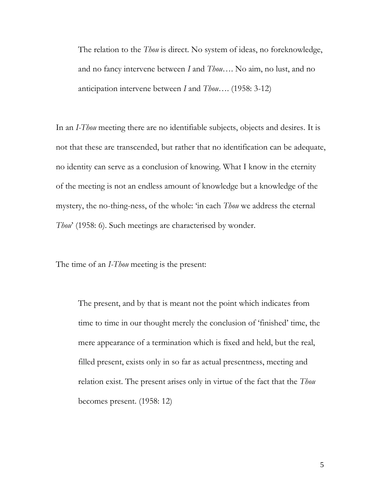The relation to the *Thou* is direct. No system of ideas, no foreknowledge, and no fancy intervene between *I* and *Thou*…. No aim, no lust, and no anticipation intervene between *I* and *Thou*…. (1958: 3-12)

In an *I-Thou* meeting there are no identifiable subjects, objects and desires. It is not that these are transcended, but rather that no identification can be adequate, no identity can serve as a conclusion of knowing. What I know in the eternity of the meeting is not an endless amount of knowledge but a knowledge of the mystery, the no-thing-ness, of the whole: 'in each *Thou* we address the eternal *Thou*' (1958: 6). Such meetings are characterised by wonder.

The time of an *I-Thou* meeting is the present:

The present, and by that is meant not the point which indicates from time to time in our thought merely the conclusion of 'finished' time, the mere appearance of a termination which is fixed and held, but the real, filled present, exists only in so far as actual presentness, meeting and relation exist. The present arises only in virtue of the fact that the *Thou*  becomes present. (1958: 12)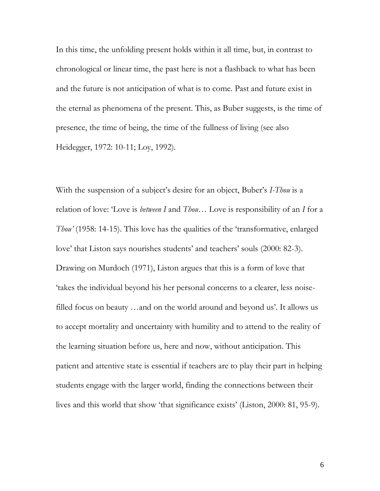In this time, the unfolding present holds within it all time, but, in contrast to chronological or linear time, the past here is not a flashback to what has been and the future is not anticipation of what is to come. Past and future exist in the eternal as phenomena of the present. This, as Buber suggests, is the time of presence, the time of being, the time of the fullness of living (see also Heidegger, 1972: 10-11; Loy, 1992).

With the suspension of a subject's desire for an object, Buber's *I-Thou* is a relation of love: 'Love is *between I* and *Thou*… Love is responsibility of an *I* for a *Thou'* (1958: 14-15). This love has the qualities of the 'transformative, enlarged love' that Liston says nourishes students' and teachers' souls (2000: 82-3). Drawing on Murdoch (1971), Liston argues that this is a form of love that 'takes the individual beyond his her personal concerns to a clearer, less noisefilled focus on beauty …and on the world around and beyond us'. It allows us to accept mortality and uncertainty with humility and to attend to the reality of the learning situation before us, here and now, without anticipation. This patient and attentive state is essential if teachers are to play their part in helping students engage with the larger world, finding the connections between their lives and this world that show 'that significance exists' (Liston, 2000: 81, 95-9).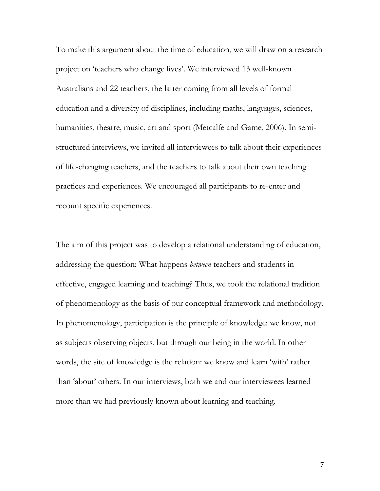To make this argument about the time of education, we will draw on a research project on 'teachers who change lives'. We interviewed 13 well-known Australians and 22 teachers, the latter coming from all levels of formal education and a diversity of disciplines, including maths, languages, sciences, humanities, theatre, music, art and sport (Metcalfe and Game, 2006). In semistructured interviews, we invited all interviewees to talk about their experiences of life-changing teachers, and the teachers to talk about their own teaching practices and experiences. We encouraged all participants to re-enter and recount specific experiences.

The aim of this project was to develop a relational understanding of education, addressing the question: What happens *between* teachers and students in effective, engaged learning and teaching? Thus, we took the relational tradition of phenomenology as the basis of our conceptual framework and methodology. In phenomenology, participation is the principle of knowledge: we know, not as subjects observing objects, but through our being in the world. In other words, the site of knowledge is the relation: we know and learn 'with' rather than 'about' others. In our interviews, both we and our interviewees learned more than we had previously known about learning and teaching.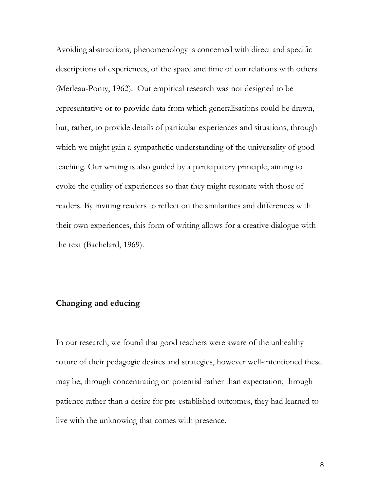Avoiding abstractions, phenomenology is concerned with direct and specific descriptions of experiences, of the space and time of our relations with others (Merleau-Ponty, 1962). Our empirical research was not designed to be representative or to provide data from which generalisations could be drawn, but, rather, to provide details of particular experiences and situations, through which we might gain a sympathetic understanding of the universality of good teaching. Our writing is also guided by a participatory principle, aiming to evoke the quality of experiences so that they might resonate with those of readers. By inviting readers to reflect on the similarities and differences with their own experiences, this form of writing allows for a creative dialogue with the text (Bachelard, 1969).

## **Changing and educing**

In our research, we found that good teachers were aware of the unhealthy nature of their pedagogic desires and strategies, however well-intentioned these may be; through concentrating on potential rather than expectation, through patience rather than a desire for pre-established outcomes, they had learned to live with the unknowing that comes with presence.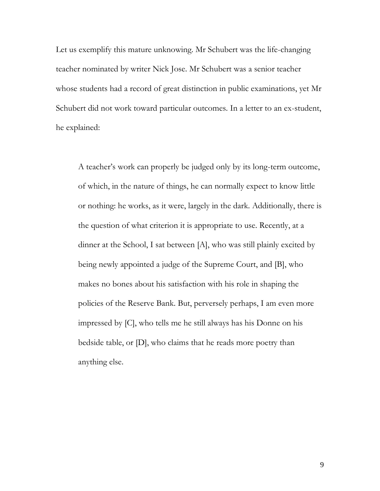Let us exemplify this mature unknowing. Mr Schubert was the life-changing teacher nominated by writer Nick Jose. Mr Schubert was a senior teacher whose students had a record of great distinction in public examinations, yet Mr Schubert did not work toward particular outcomes. In a letter to an ex-student, he explained:

A teacher's work can properly be judged only by its long-term outcome, of which, in the nature of things, he can normally expect to know little or nothing: he works, as it were, largely in the dark. Additionally, there is the question of what criterion it is appropriate to use. Recently, at a dinner at the School, I sat between [A], who was still plainly excited by being newly appointed a judge of the Supreme Court, and [B], who makes no bones about his satisfaction with his role in shaping the policies of the Reserve Bank. But, perversely perhaps, I am even more impressed by [C], who tells me he still always has his Donne on his bedside table, or [D], who claims that he reads more poetry than anything else.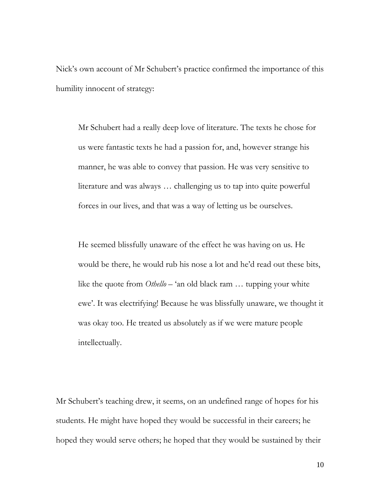Nick's own account of Mr Schubert's practice confirmed the importance of this humility innocent of strategy:

Mr Schubert had a really deep love of literature. The texts he chose for us were fantastic texts he had a passion for, and, however strange his manner, he was able to convey that passion. He was very sensitive to literature and was always … challenging us to tap into quite powerful forces in our lives, and that was a way of letting us be ourselves.

He seemed blissfully unaware of the effect he was having on us. He would be there, he would rub his nose a lot and he'd read out these bits, like the quote from *Othello* – 'an old black ram … tupping your white ewe'. It was electrifying! Because he was blissfully unaware, we thought it was okay too. He treated us absolutely as if we were mature people intellectually.

Mr Schubert's teaching drew, it seems, on an undefined range of hopes for his students. He might have hoped they would be successful in their careers; he hoped they would serve others; he hoped that they would be sustained by their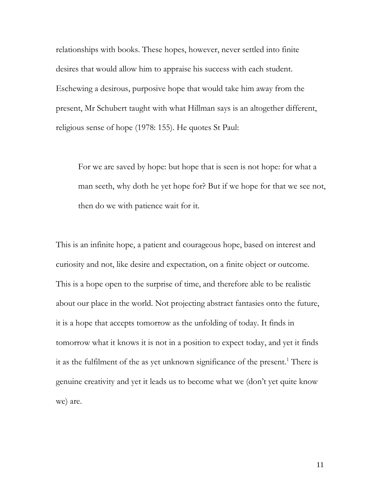relationships with books. These hopes, however, never settled into finite desires that would allow him to appraise his success with each student. Eschewing a desirous, purposive hope that would take him away from the present, Mr Schubert taught with what Hillman says is an altogether different, religious sense of hope (1978: 155). He quotes St Paul:

For we are saved by hope: but hope that is seen is not hope: for what a man seeth, why doth he yet hope for? But if we hope for that we see not, then do we with patience wait for it.

This is an infinite hope, a patient and courageous hope, based on interest and curiosity and not, like desire and expectation, on a finite object or outcome. This is a hope open to the surprise of time, and therefore able to be realistic about our place in the world. Not projecting abstract fantasies onto the future, it is a hope that accepts tomorrow as the unfolding of today. It finds in tomorrow what it knows it is not in a position to expect today, and yet it finds it as the fulfilment of the as yet unknown significance of the present.<sup>1</sup> There is genuine creativity and yet it leads us to become what we (don't yet quite know we) are.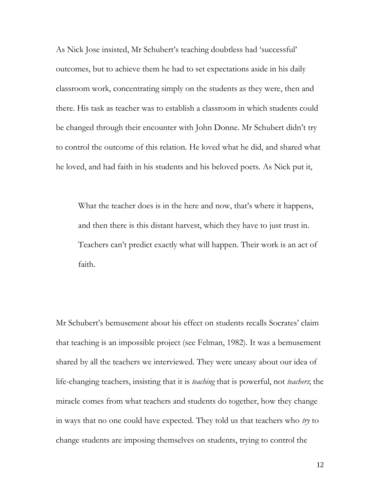As Nick Jose insisted, Mr Schubert's teaching doubtless had 'successful' outcomes, but to achieve them he had to set expectations aside in his daily classroom work, concentrating simply on the students as they were, then and there. His task as teacher was to establish a classroom in which students could be changed through their encounter with John Donne. Mr Schubert didn't try to control the outcome of this relation. He loved what he did, and shared what he loved, and had faith in his students and his beloved poets. As Nick put it,

What the teacher does is in the here and now, that's where it happens, and then there is this distant harvest, which they have to just trust in. Teachers can't predict exactly what will happen. Their work is an act of faith.

Mr Schubert's bemusement about his effect on students recalls Socrates' claim that teaching is an impossible project (see Felman, 1982). It was a bemusement shared by all the teachers we interviewed. They were uneasy about our idea of life-changing teachers, insisting that it is *teaching* that is powerful, not *teachers*; the miracle comes from what teachers and students do together, how they change in ways that no one could have expected. They told us that teachers who *try* to change students are imposing themselves on students, trying to control the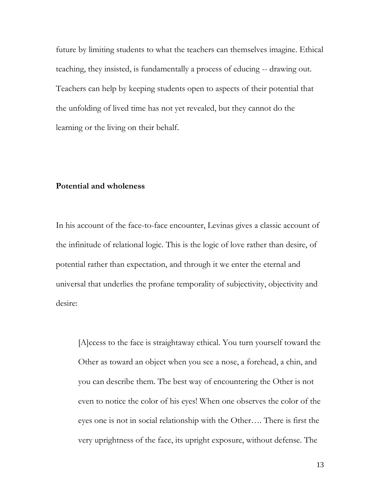future by limiting students to what the teachers can themselves imagine. Ethical teaching, they insisted, is fundamentally a process of educing -- drawing out. Teachers can help by keeping students open to aspects of their potential that the unfolding of lived time has not yet revealed, but they cannot do the learning or the living on their behalf.

## **Potential and wholeness**

In his account of the face-to-face encounter, Levinas gives a classic account of the infinitude of relational logic. This is the logic of love rather than desire, of potential rather than expectation, and through it we enter the eternal and universal that underlies the profane temporality of subjectivity, objectivity and desire:

[A]ccess to the face is straightaway ethical. You turn yourself toward the Other as toward an object when you see a nose, a forehead, a chin, and you can describe them. The best way of encountering the Other is not even to notice the color of his eyes! When one observes the color of the eyes one is not in social relationship with the Other…. There is first the very uprightness of the face, its upright exposure, without defense. The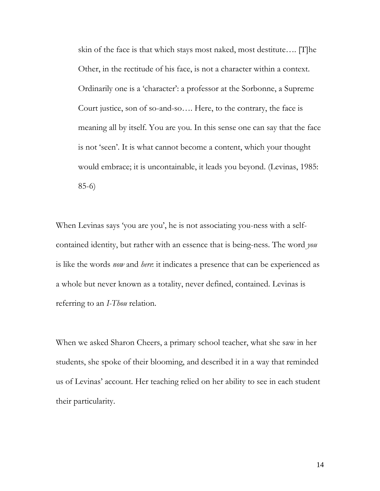skin of the face is that which stays most naked, most destitute…. [T]he Other, in the rectitude of his face, is not a character within a context. Ordinarily one is a 'character': a professor at the Sorbonne, a Supreme Court justice, son of so-and-so…. Here, to the contrary, the face is meaning all by itself. You are you. In this sense one can say that the face is not 'seen'. It is what cannot become a content, which your thought would embrace; it is uncontainable, it leads you beyond. (Levinas, 1985: 85-6)

When Levinas says 'you are you', he is not associating you-ness with a selfcontained identity, but rather with an essence that is being-ness. The word *you* is like the words *now* and *here*: it indicates a presence that can be experienced as a whole but never known as a totality, never defined, contained. Levinas is referring to an *I-Thou* relation.

When we asked Sharon Cheers, a primary school teacher, what she saw in her students, she spoke of their blooming, and described it in a way that reminded us of Levinas' account. Her teaching relied on her ability to see in each student their particularity.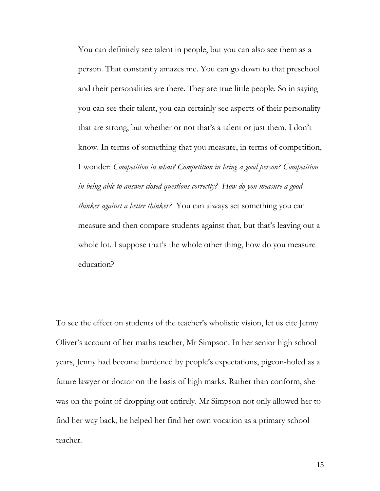You can definitely see talent in people, but you can also see them as a person. That constantly amazes me. You can go down to that preschool and their personalities are there. They are true little people. So in saying you can see their talent, you can certainly see aspects of their personality that are strong, but whether or not that's a talent or just them, I don't know. In terms of something that you measure, in terms of competition, I wonder: *Competition in what? Competition in being a good person? Competition in being able to answer closed questions correctly? How do you measure a good thinker against a better thinker?* You can always set something you can measure and then compare students against that, but that's leaving out a whole lot. I suppose that's the whole other thing, how do you measure education?

To see the effect on students of the teacher's wholistic vision, let us cite Jenny Oliver's account of her maths teacher, Mr Simpson. In her senior high school years, Jenny had become burdened by people's expectations, pigeon-holed as a future lawyer or doctor on the basis of high marks. Rather than conform, she was on the point of dropping out entirely. Mr Simpson not only allowed her to find her way back, he helped her find her own vocation as a primary school teacher.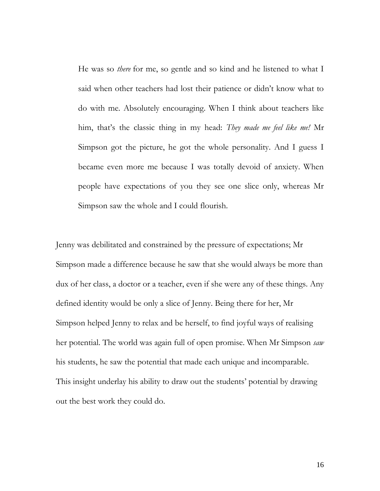He was so *there* for me, so gentle and so kind and he listened to what I said when other teachers had lost their patience or didn't know what to do with me. Absolutely encouraging. When I think about teachers like him, that's the classic thing in my head: *They made me feel like me!* Mr Simpson got the picture, he got the whole personality. And I guess I became even more me because I was totally devoid of anxiety. When people have expectations of you they see one slice only, whereas Mr Simpson saw the whole and I could flourish.

Jenny was debilitated and constrained by the pressure of expectations; Mr Simpson made a difference because he saw that she would always be more than dux of her class, a doctor or a teacher, even if she were any of these things. Any defined identity would be only a slice of Jenny. Being there for her, Mr Simpson helped Jenny to relax and be herself, to find joyful ways of realising her potential. The world was again full of open promise. When Mr Simpson *saw* his students, he saw the potential that made each unique and incomparable. This insight underlay his ability to draw out the students' potential by drawing out the best work they could do.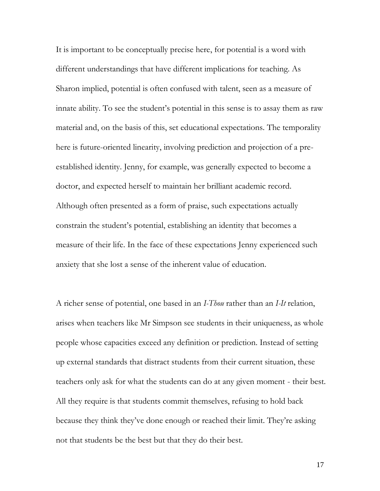It is important to be conceptually precise here, for potential is a word with different understandings that have different implications for teaching. As Sharon implied, potential is often confused with talent, seen as a measure of innate ability. To see the student's potential in this sense is to assay them as raw material and, on the basis of this, set educational expectations. The temporality here is future-oriented linearity, involving prediction and projection of a preestablished identity. Jenny, for example, was generally expected to become a doctor, and expected herself to maintain her brilliant academic record. Although often presented as a form of praise, such expectations actually constrain the student's potential, establishing an identity that becomes a measure of their life. In the face of these expectations Jenny experienced such anxiety that she lost a sense of the inherent value of education.

A richer sense of potential, one based in an *I-Thou* rather than an *I-It* relation, arises when teachers like Mr Simpson see students in their uniqueness, as whole people whose capacities exceed any definition or prediction. Instead of setting up external standards that distract students from their current situation, these teachers only ask for what the students can do at any given moment - their best. All they require is that students commit themselves, refusing to hold back because they think they've done enough or reached their limit. They're asking not that students be the best but that they do their best.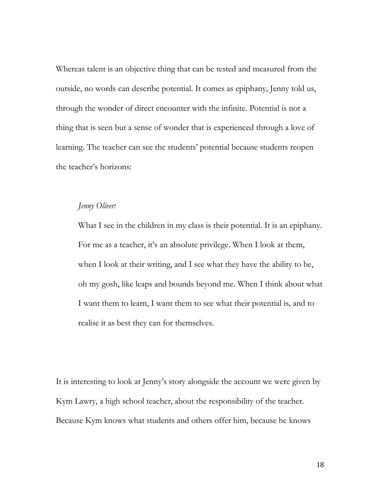Whereas talent is an objective thing that can be tested and measured from the outside, no words can describe potential. It comes as epiphany, Jenny told us, through the wonder of direct encounter with the infinite. Potential is not a thing that is seen but a sense of wonder that is experienced through a love of learning. The teacher can see the students' potential because students reopen the teacher's horizons:

## *Jenny Oliver:*

What I see in the children in my class is their potential. It is an epiphany. For me as a teacher, it's an absolute privilege. When I look at them, when I look at their writing, and I see what they have the ability to be, oh my gosh, like leaps and bounds beyond me. When I think about what I want them to learn, I want them to see what their potential is, and to realise it as best they can for themselves.

It is interesting to look at Jenny's story alongside the account we were given by Kym Lawry, a high school teacher, about the responsibility of the teacher. Because Kym knows what students and others offer him, because he knows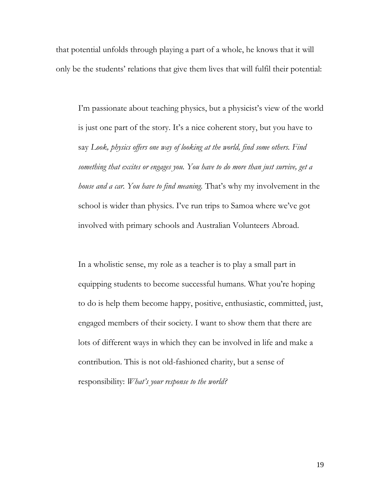that potential unfolds through playing a part of a whole, he knows that it will only be the students' relations that give them lives that will fulfil their potential:

I'm passionate about teaching physics, but a physicist's view of the world is just one part of the story. It's a nice coherent story, but you have to say *Look, physics offers one way of looking at the world, find some others. Find something that excites or engages you. You have to do more than just survive, get a house and a car. You have to find meaning.* That's why my involvement in the school is wider than physics. I've run trips to Samoa where we've got involved with primary schools and Australian Volunteers Abroad.

In a wholistic sense, my role as a teacher is to play a small part in equipping students to become successful humans. What you're hoping to do is help them become happy, positive, enthusiastic, committed, just, engaged members of their society. I want to show them that there are lots of different ways in which they can be involved in life and make a contribution. This is not old-fashioned charity, but a sense of responsibility: *What's your response to the world?*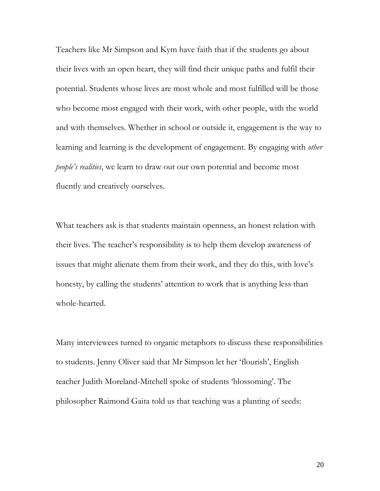Teachers like Mr Simpson and Kym have faith that if the students go about their lives with an open heart, they will find their unique paths and fulfil their potential. Students whose lives are most whole and most fulfilled will be those who become most engaged with their work, with other people, with the world and with themselves. Whether in school or outside it, engagement is the way to learning and learning is the development of engagement. By engaging with *other people's realities*, we learn to draw out our own potential and become most fluently and creatively ourselves.

What teachers ask is that students maintain openness, an honest relation with their lives. The teacher's responsibility is to help them develop awareness of issues that might alienate them from their work, and they do this, with love's honesty, by calling the students' attention to work that is anything less than whole-hearted.

Many interviewees turned to organic metaphors to discuss these responsibilities to students. Jenny Oliver said that Mr Simpson let her 'flourish', English teacher Judith Moreland-Mitchell spoke of students 'blossoming'. The philosopher Raimond Gaita told us that teaching was a planting of seeds: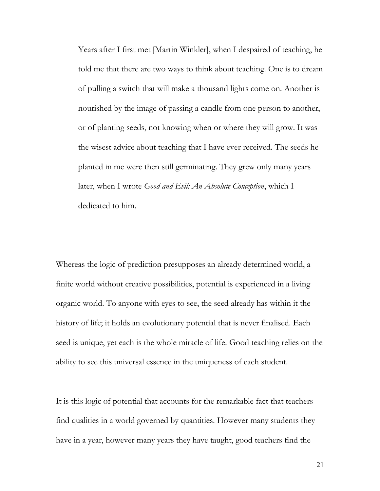Years after I first met [Martin Winkler], when I despaired of teaching, he told me that there are two ways to think about teaching. One is to dream of pulling a switch that will make a thousand lights come on. Another is nourished by the image of passing a candle from one person to another, or of planting seeds, not knowing when or where they will grow. It was the wisest advice about teaching that I have ever received. The seeds he planted in me were then still germinating. They grew only many years later, when I wrote *Good and Evil: An Absolute Conception*, which I dedicated to him.

Whereas the logic of prediction presupposes an already determined world, a finite world without creative possibilities, potential is experienced in a living organic world. To anyone with eyes to see, the seed already has within it the history of life; it holds an evolutionary potential that is never finalised. Each seed is unique, yet each is the whole miracle of life. Good teaching relies on the ability to see this universal essence in the uniqueness of each student.

It is this logic of potential that accounts for the remarkable fact that teachers find qualities in a world governed by quantities. However many students they have in a year, however many years they have taught, good teachers find the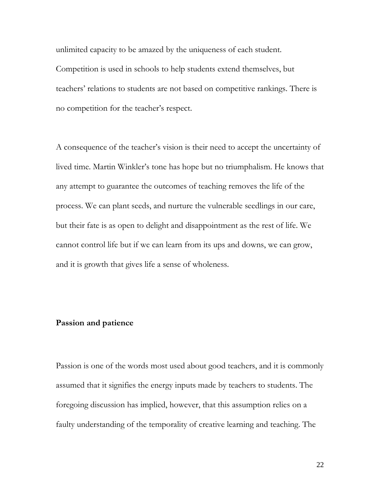unlimited capacity to be amazed by the uniqueness of each student. Competition is used in schools to help students extend themselves, but teachers' relations to students are not based on competitive rankings. There is no competition for the teacher's respect.

A consequence of the teacher's vision is their need to accept the uncertainty of lived time. Martin Winkler's tone has hope but no triumphalism. He knows that any attempt to guarantee the outcomes of teaching removes the life of the process. We can plant seeds, and nurture the vulnerable seedlings in our care, but their fate is as open to delight and disappointment as the rest of life. We cannot control life but if we can learn from its ups and downs, we can grow, and it is growth that gives life a sense of wholeness.

#### **Passion and patience**

Passion is one of the words most used about good teachers, and it is commonly assumed that it signifies the energy inputs made by teachers to students. The foregoing discussion has implied, however, that this assumption relies on a faulty understanding of the temporality of creative learning and teaching. The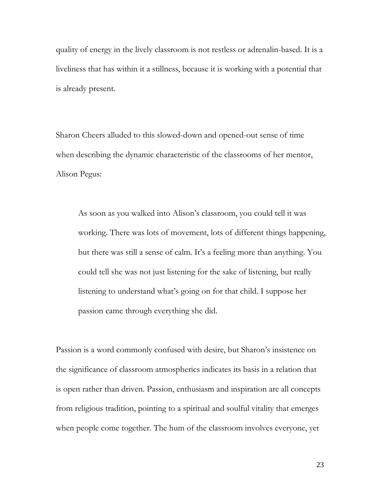quality of energy in the lively classroom is not restless or adrenalin-based. It is a liveliness that has within it a stillness, because it is working with a potential that is already present.

Sharon Cheers alluded to this slowed-down and opened-out sense of time when describing the dynamic characteristic of the classrooms of her mentor, Alison Pegus:

As soon as you walked into Alison's classroom, you could tell it was working. There was lots of movement, lots of different things happening, but there was still a sense of calm. It's a feeling more than anything. You could tell she was not just listening for the sake of listening, but really listening to understand what's going on for that child. I suppose her passion came through everything she did.

Passion is a word commonly confused with desire, but Sharon's insistence on the significance of classroom atmospherics indicates its basis in a relation that is open rather than driven. Passion, enthusiasm and inspiration are all concepts from religious tradition, pointing to a spiritual and soulful vitality that emerges when people come together. The hum of the classroom involves everyone, yet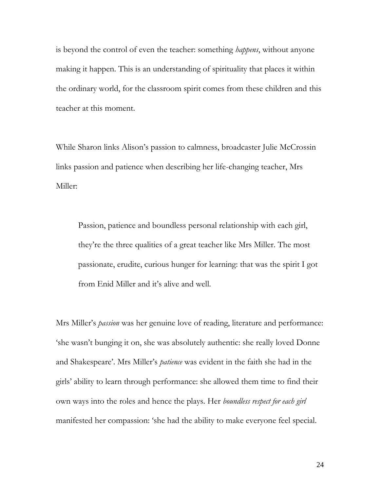is beyond the control of even the teacher: something *happens*, without anyone making it happen. This is an understanding of spirituality that places it within the ordinary world, for the classroom spirit comes from these children and this teacher at this moment.

While Sharon links Alison's passion to calmness, broadcaster Julie McCrossin links passion and patience when describing her life-changing teacher, Mrs Miller:

Passion, patience and boundless personal relationship with each girl, they're the three qualities of a great teacher like Mrs Miller. The most passionate, erudite, curious hunger for learning: that was the spirit I got from Enid Miller and it's alive and well.

Mrs Miller's *passion* was her genuine love of reading, literature and performance: 'she wasn't bunging it on, she was absolutely authentic: she really loved Donne and Shakespeare'. Mrs Miller's *patience* was evident in the faith she had in the girls' ability to learn through performance: she allowed them time to find their own ways into the roles and hence the plays. Her *boundless respect for each girl*  manifested her compassion: 'she had the ability to make everyone feel special.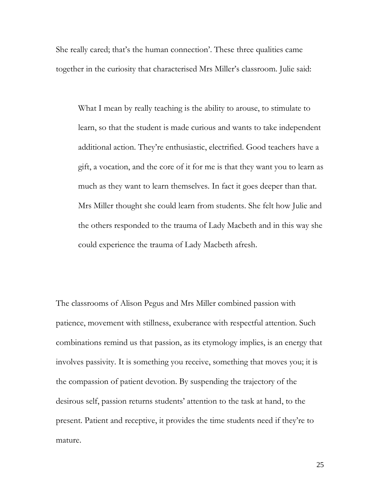She really cared; that's the human connection'. These three qualities came together in the curiosity that characterised Mrs Miller's classroom. Julie said:

What I mean by really teaching is the ability to arouse, to stimulate to learn, so that the student is made curious and wants to take independent additional action. They're enthusiastic, electrified. Good teachers have a gift, a vocation, and the core of it for me is that they want you to learn as much as they want to learn themselves. In fact it goes deeper than that. Mrs Miller thought she could learn from students. She felt how Julie and the others responded to the trauma of Lady Macbeth and in this way she could experience the trauma of Lady Macbeth afresh.

The classrooms of Alison Pegus and Mrs Miller combined passion with patience, movement with stillness, exuberance with respectful attention. Such combinations remind us that passion, as its etymology implies, is an energy that involves passivity. It is something you receive, something that moves you; it is the compassion of patient devotion. By suspending the trajectory of the desirous self, passion returns students' attention to the task at hand, to the present. Patient and receptive, it provides the time students need if they're to mature.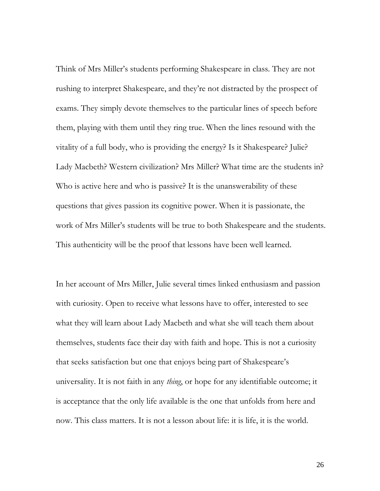Think of Mrs Miller's students performing Shakespeare in class. They are not rushing to interpret Shakespeare, and they're not distracted by the prospect of exams. They simply devote themselves to the particular lines of speech before them, playing with them until they ring true. When the lines resound with the vitality of a full body, who is providing the energy? Is it Shakespeare? Julie? Lady Macbeth? Western civilization? Mrs Miller? What time are the students in? Who is active here and who is passive? It is the unanswerability of these questions that gives passion its cognitive power. When it is passionate, the work of Mrs Miller's students will be true to both Shakespeare and the students. This authenticity will be the proof that lessons have been well learned.

In her account of Mrs Miller, Julie several times linked enthusiasm and passion with curiosity. Open to receive what lessons have to offer, interested to see what they will learn about Lady Macbeth and what she will teach them about themselves, students face their day with faith and hope. This is not a curiosity that seeks satisfaction but one that enjoys being part of Shakespeare's universality. It is not faith in any *thing*, or hope for any identifiable outcome; it is acceptance that the only life available is the one that unfolds from here and now. This class matters. It is not a lesson about life: it is life, it is the world.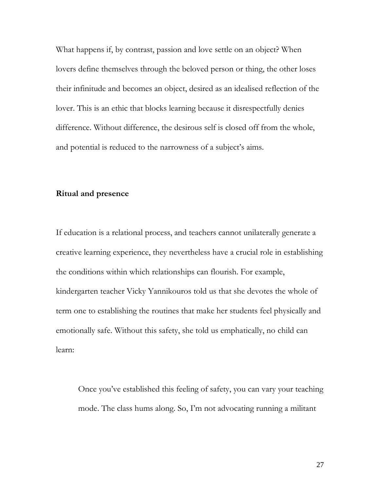What happens if, by contrast, passion and love settle on an object? When lovers define themselves through the beloved person or thing, the other loses their infinitude and becomes an object, desired as an idealised reflection of the lover. This is an ethic that blocks learning because it disrespectfully denies difference. Without difference, the desirous self is closed off from the whole, and potential is reduced to the narrowness of a subject's aims.

#### **Ritual and presence**

If education is a relational process, and teachers cannot unilaterally generate a creative learning experience, they nevertheless have a crucial role in establishing the conditions within which relationships can flourish. For example, kindergarten teacher Vicky Yannikouros told us that she devotes the whole of term one to establishing the routines that make her students feel physically and emotionally safe. Without this safety, she told us emphatically, no child can learn:

Once you've established this feeling of safety, you can vary your teaching mode. The class hums along. So, I'm not advocating running a militant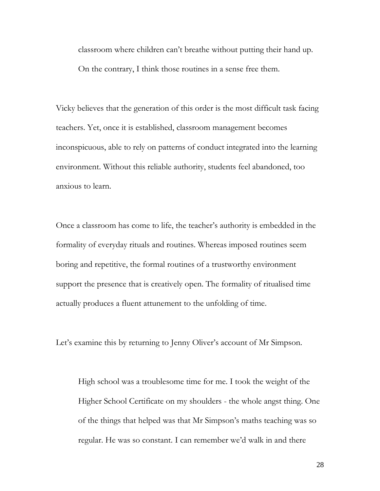classroom where children can't breathe without putting their hand up. On the contrary, I think those routines in a sense free them.

Vicky believes that the generation of this order is the most difficult task facing teachers. Yet, once it is established, classroom management becomes inconspicuous, able to rely on patterns of conduct integrated into the learning environment. Without this reliable authority, students feel abandoned, too anxious to learn.

Once a classroom has come to life, the teacher's authority is embedded in the formality of everyday rituals and routines. Whereas imposed routines seem boring and repetitive, the formal routines of a trustworthy environment support the presence that is creatively open. The formality of ritualised time actually produces a fluent attunement to the unfolding of time.

Let's examine this by returning to Jenny Oliver's account of Mr Simpson.

High school was a troublesome time for me. I took the weight of the Higher School Certificate on my shoulders - the whole angst thing. One of the things that helped was that Mr Simpson's maths teaching was so regular. He was so constant. I can remember we'd walk in and there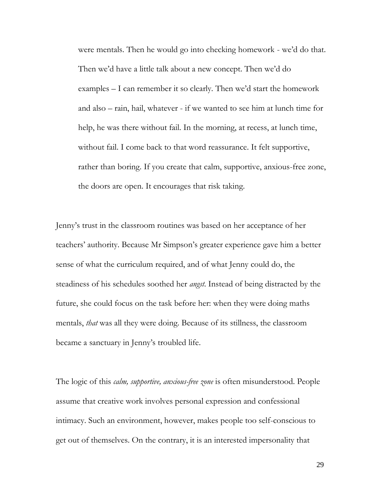were mentals. Then he would go into checking homework - we'd do that. Then we'd have a little talk about a new concept. Then we'd do examples – I can remember it so clearly. Then we'd start the homework and also – rain, hail, whatever - if we wanted to see him at lunch time for help, he was there without fail. In the morning, at recess, at lunch time, without fail. I come back to that word reassurance. It felt supportive, rather than boring. If you create that calm, supportive, anxious-free zone, the doors are open. It encourages that risk taking.

Jenny's trust in the classroom routines was based on her acceptance of her teachers' authority. Because Mr Simpson's greater experience gave him a better sense of what the curriculum required, and of what Jenny could do, the steadiness of his schedules soothed her *angst*. Instead of being distracted by the future, she could focus on the task before her: when they were doing maths mentals, *that* was all they were doing. Because of its stillness, the classroom became a sanctuary in Jenny's troubled life.

The logic of this *calm, supportive, anxious-free zone* is often misunderstood. People assume that creative work involves personal expression and confessional intimacy. Such an environment, however, makes people too self-conscious to get out of themselves. On the contrary, it is an interested impersonality that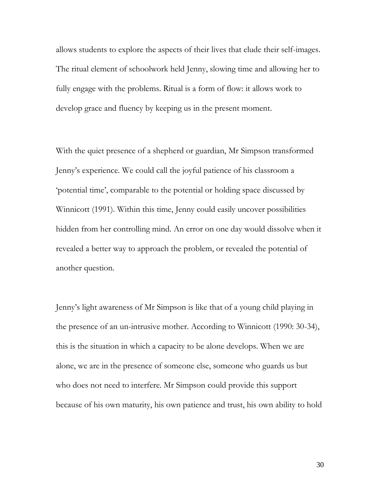allows students to explore the aspects of their lives that elude their self-images. The ritual element of schoolwork held Jenny, slowing time and allowing her to fully engage with the problems. Ritual is a form of flow: it allows work to develop grace and fluency by keeping us in the present moment.

With the quiet presence of a shepherd or guardian, Mr Simpson transformed Jenny's experience. We could call the joyful patience of his classroom a 'potential time', comparable to the potential or holding space discussed by Winnicott (1991). Within this time, Jenny could easily uncover possibilities hidden from her controlling mind. An error on one day would dissolve when it revealed a better way to approach the problem, or revealed the potential of another question.

Jenny's light awareness of Mr Simpson is like that of a young child playing in the presence of an un-intrusive mother. According to Winnicott (1990: 30-34), this is the situation in which a capacity to be alone develops. When we are alone, we are in the presence of someone else, someone who guards us but who does not need to interfere. Mr Simpson could provide this support because of his own maturity, his own patience and trust, his own ability to hold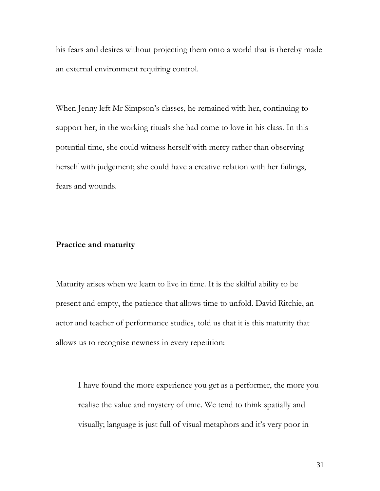his fears and desires without projecting them onto a world that is thereby made an external environment requiring control.

When Jenny left Mr Simpson's classes, he remained with her, continuing to support her, in the working rituals she had come to love in his class. In this potential time, she could witness herself with mercy rather than observing herself with judgement; she could have a creative relation with her failings, fears and wounds.

## **Practice and maturity**

Maturity arises when we learn to live in time. It is the skilful ability to be present and empty, the patience that allows time to unfold. David Ritchie, an actor and teacher of performance studies, told us that it is this maturity that allows us to recognise newness in every repetition:

I have found the more experience you get as a performer, the more you realise the value and mystery of time. We tend to think spatially and visually; language is just full of visual metaphors and it's very poor in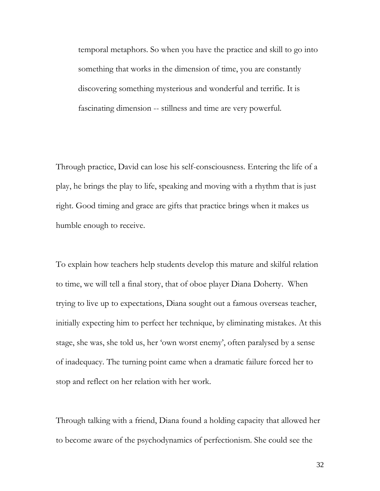temporal metaphors. So when you have the practice and skill to go into something that works in the dimension of time, you are constantly discovering something mysterious and wonderful and terrific. It is fascinating dimension -- stillness and time are very powerful.

Through practice, David can lose his self-consciousness. Entering the life of a play, he brings the play to life, speaking and moving with a rhythm that is just right. Good timing and grace are gifts that practice brings when it makes us humble enough to receive.

To explain how teachers help students develop this mature and skilful relation to time, we will tell a final story, that of oboe player Diana Doherty. When trying to live up to expectations, Diana sought out a famous overseas teacher, initially expecting him to perfect her technique, by eliminating mistakes. At this stage, she was, she told us, her 'own worst enemy', often paralysed by a sense of inadequacy. The turning point came when a dramatic failure forced her to stop and reflect on her relation with her work.

Through talking with a friend, Diana found a holding capacity that allowed her to become aware of the psychodynamics of perfectionism. She could see the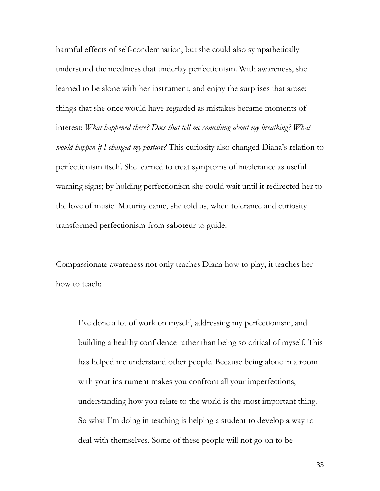harmful effects of self-condemnation, but she could also sympathetically understand the neediness that underlay perfectionism. With awareness, she learned to be alone with her instrument, and enjoy the surprises that arose; things that she once would have regarded as mistakes became moments of interest: *What happened there? Does that tell me something about my breathing? What would happen if I changed my posture?* This curiosity also changed Diana's relation to perfectionism itself. She learned to treat symptoms of intolerance as useful warning signs; by holding perfectionism she could wait until it redirected her to the love of music. Maturity came, she told us, when tolerance and curiosity transformed perfectionism from saboteur to guide.

Compassionate awareness not only teaches Diana how to play, it teaches her how to teach:

I've done a lot of work on myself, addressing my perfectionism, and building a healthy confidence rather than being so critical of myself. This has helped me understand other people. Because being alone in a room with your instrument makes you confront all your imperfections, understanding how you relate to the world is the most important thing. So what I'm doing in teaching is helping a student to develop a way to deal with themselves. Some of these people will not go on to be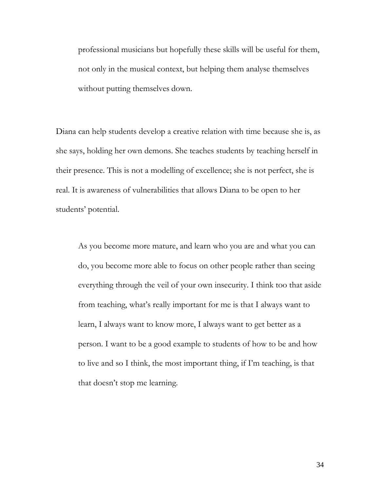professional musicians but hopefully these skills will be useful for them, not only in the musical context, but helping them analyse themselves without putting themselves down.

Diana can help students develop a creative relation with time because she is, as she says, holding her own demons. She teaches students by teaching herself in their presence. This is not a modelling of excellence; she is not perfect, she is real. It is awareness of vulnerabilities that allows Diana to be open to her students' potential.

As you become more mature, and learn who you are and what you can do, you become more able to focus on other people rather than seeing everything through the veil of your own insecurity. I think too that aside from teaching, what's really important for me is that I always want to learn, I always want to know more, I always want to get better as a person. I want to be a good example to students of how to be and how to live and so I think, the most important thing, if I'm teaching, is that that doesn't stop me learning.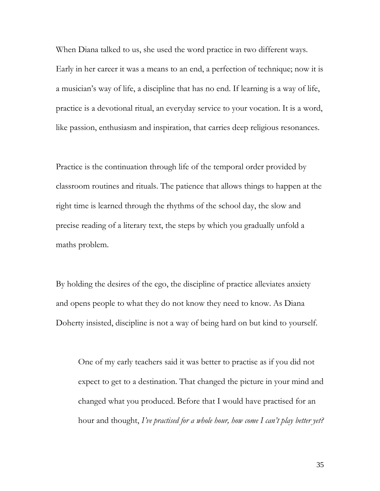When Diana talked to us, she used the word practice in two different ways. Early in her career it was a means to an end, a perfection of technique; now it is a musician's way of life, a discipline that has no end. If learning is a way of life, practice is a devotional ritual, an everyday service to your vocation. It is a word, like passion, enthusiasm and inspiration, that carries deep religious resonances.

Practice is the continuation through life of the temporal order provided by classroom routines and rituals. The patience that allows things to happen at the right time is learned through the rhythms of the school day, the slow and precise reading of a literary text, the steps by which you gradually unfold a maths problem.

By holding the desires of the ego, the discipline of practice alleviates anxiety and opens people to what they do not know they need to know. As Diana Doherty insisted, discipline is not a way of being hard on but kind to yourself.

One of my early teachers said it was better to practise as if you did not expect to get to a destination. That changed the picture in your mind and changed what you produced. Before that I would have practised for an hour and thought, *I've practised for a whole hour, how come I can't play better yet?*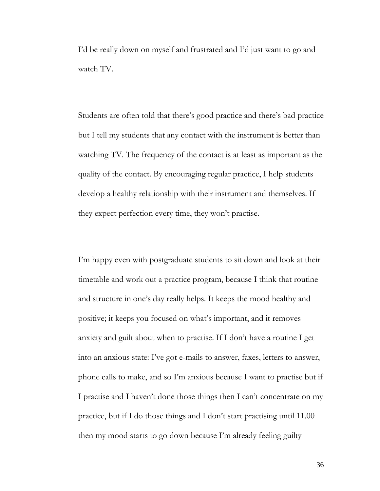I'd be really down on myself and frustrated and I'd just want to go and watch TV.

Students are often told that there's good practice and there's bad practice but I tell my students that any contact with the instrument is better than watching TV. The frequency of the contact is at least as important as the quality of the contact. By encouraging regular practice, I help students develop a healthy relationship with their instrument and themselves. If they expect perfection every time, they won't practise.

I'm happy even with postgraduate students to sit down and look at their timetable and work out a practice program, because I think that routine and structure in one's day really helps. It keeps the mood healthy and positive; it keeps you focused on what's important, and it removes anxiety and guilt about when to practise. If I don't have a routine I get into an anxious state: I've got e-mails to answer, faxes, letters to answer, phone calls to make, and so I'm anxious because I want to practise but if I practise and I haven't done those things then I can't concentrate on my practice, but if I do those things and I don't start practising until 11.00 then my mood starts to go down because I'm already feeling guilty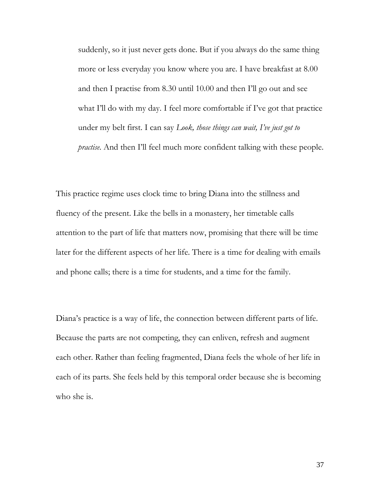suddenly, so it just never gets done. But if you always do the same thing more or less everyday you know where you are. I have breakfast at 8.00 and then I practise from 8.30 until 10.00 and then I'll go out and see what I'll do with my day. I feel more comfortable if I've got that practice under my belt first. I can say *Look, those things can wait, I've just got to practise*. And then I'll feel much more confident talking with these people.

This practice regime uses clock time to bring Diana into the stillness and fluency of the present. Like the bells in a monastery, her timetable calls attention to the part of life that matters now, promising that there will be time later for the different aspects of her life. There is a time for dealing with emails and phone calls; there is a time for students, and a time for the family.

Diana's practice is a way of life, the connection between different parts of life. Because the parts are not competing, they can enliven, refresh and augment each other. Rather than feeling fragmented, Diana feels the whole of her life in each of its parts. She feels held by this temporal order because she is becoming who she is.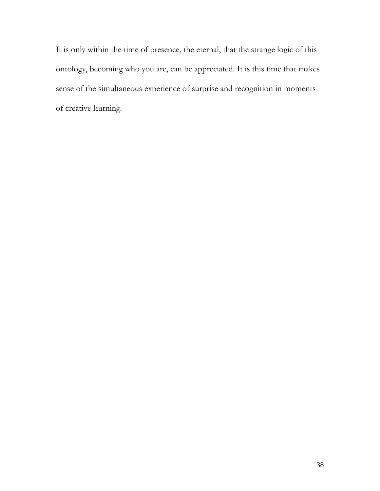It is only within the time of presence, the eternal, that the strange logic of this ontology, becoming who you are, can be appreciated. It is this time that makes sense of the simultaneous experience of surprise and recognition in moments of creative learning.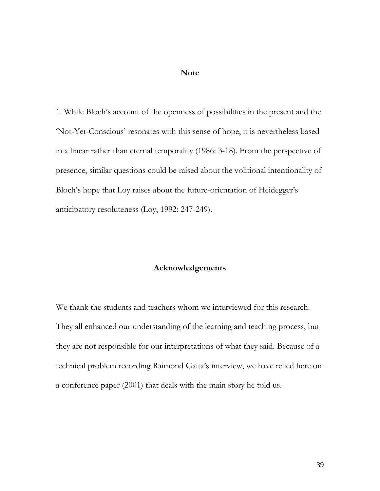#### **Note**

1. While Bloch's account of the openness of possibilities in the present and the 'Not-Yet-Conscious' resonates with this sense of hope, it is nevertheless based in a linear rather than eternal temporality (1986: 3-18). From the perspective of presence, similar questions could be raised about the volitional intentionality of Bloch's hope that Loy raises about the future-orientation of Heidegger's anticipatory resoluteness (Loy, 1992: 247-249).

## **Acknowledgements**

We thank the students and teachers whom we interviewed for this research. They all enhanced our understanding of the learning and teaching process, but they are not responsible for our interpretations of what they said. Because of a technical problem recording Raimond Gaita's interview, we have relied here on a conference paper (2001) that deals with the main story he told us.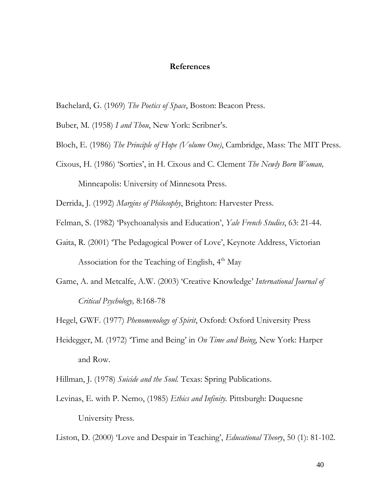#### **References**

Bachelard, G. (1969) *The Poetics of Space*, Boston: Beacon Press.

Buber, M. (1958) *I and Thou*, New York: Scribner's.

- Bloch, E. (1986) *The Principle of Hope (Volume One)*, Cambridge, Mass: The MIT Press.
- Cixous, H. (1986) 'Sorties', in H. Cixous and C. Clement *The Newly Born Woman,*

Minneapolis: University of Minnesota Press.

Derrida, J. (1992) *Margins of Philosophy*, Brighton: Harvester Press.

Felman, S. (1982) 'Psychoanalysis and Education', *Yale French Studies*, 63: 21-44.

- Gaita, R. (2001) 'The Pedagogical Power of Love', Keynote Address, Victorian Association for the Teaching of English,  $4<sup>th</sup>$  May
- Game, A. and Metcalfe, A.W. (2003) 'Creative Knowledge' *International Journal of Critical Psychology,* 8:168-78

Hegel, GWF. (1977) *Phenomenology of Spirit*, Oxford: Oxford University Press

Heidegger, M. (1972) 'Time and Being' in *On Time and Being*, New York: Harper and Row.

Hillman, J. (1978) *Suicide and the Soul.* Texas: Spring Publications.

Levinas, E. with P. Nemo, (1985) *Ethics and Infinity.* Pittsburgh: Duquesne University Press.

Liston, D. (2000) 'Love and Despair in Teaching', *Educational Theory*, 50 (1): 81-102.